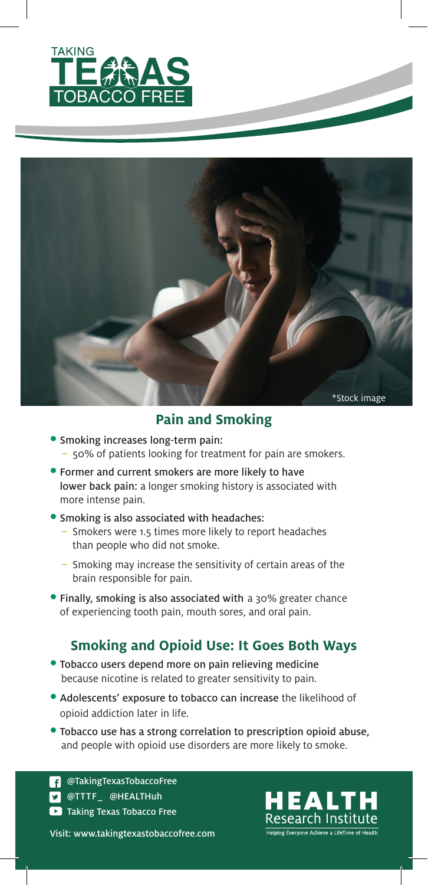



### **Pain and Smoking**

- Smoking increases long-term pain: – 50% of patients looking for treatment for pain are smokers.
- Former and current smokers are more likely to have lower back pain: a longer smoking history is associated with more intense pain.

#### • Smoking is also associated with headaches:

- Smokers were 1.5 times more likely to report headaches than people who did not smoke.
- Smoking may increase the sensitivity of certain areas of the brain responsible for pain.
- Finally, smoking is also associated with a 30% greater chance of experiencing tooth pain, mouth sores, and oral pain.

#### **Smoking and Opioid Use: It Goes Both Ways**

- Tobacco users depend more on pain relieving medicine because nicotine is related to greater sensitivity to pain.
- Adolescents' exposure to tobacco can increase the likelihood of opioid addiction later in life.
- Tobacco use has a strong correlation to prescription opioid abuse, and people with opioid use disorders are more likely to smoke.

**Taking Texas Tobacco Free D** @TTTF\_ @HEALTHuh **COTAKINGTEXASTOBACCOFree** 

Visit: www.takingtexastobaccofree.com